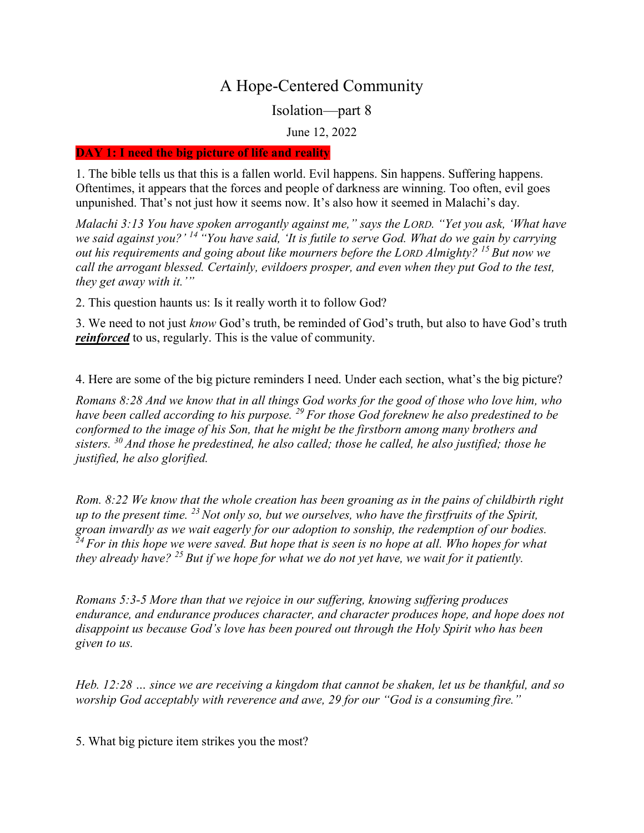# A Hope-Centered Community

Isolation—part 8

June 12, 2022

#### DAY 1: I need the big picture of life and reality

1. The bible tells us that this is a fallen world. Evil happens. Sin happens. Suffering happens. Oftentimes, it appears that the forces and people of darkness are winning. Too often, evil goes unpunished. That's not just how it seems now. It's also how it seemed in Malachi's day.

Malachi 3:13 You have spoken arrogantly against me," says the LORD. "Yet you ask, 'What have we said against you?' <sup>14"</sup> You have said, 'It is futile to serve God. What do we gain by carrying out his requirements and going about like mourners before the LORD Almighty?  $^{15}$  But now we call the arrogant blessed. Certainly, evildoers prosper, and even when they put God to the test, they get away with it.'"

2. This question haunts us: Is it really worth it to follow God?

3. We need to not just know God's truth, be reminded of God's truth, but also to have God's truth reinforced to us, regularly. This is the value of community.

4. Here are some of the big picture reminders I need. Under each section, what's the big picture?

Romans 8:28 And we know that in all things God works for the good of those who love him, who have been called according to his purpose.  $^{29}$  For those God foreknew he also predestined to be conformed to the image of his Son, that he might be the firstborn among many brothers and sisters.  $30$  And those he predestined, he also called; those he called, he also justified; those he justified, he also glorified.

Rom. 8:22 We know that the whole creation has been groaning as in the pains of childbirth right up to the present time.  $^{23}$  Not only so, but we ourselves, who have the first fruits of the Spirit, groan inwardly as we wait eagerly for our adoption to sonship, the redemption of our bodies.  $24$  For in this hope we were saved. But hope that is seen is no hope at all. Who hopes for what they already have?  $^{25}$  But if we hope for what we do not yet have, we wait for it patiently.

Romans 5:3-5 More than that we rejoice in our suffering, knowing suffering produces endurance, and endurance produces character, and character produces hope, and hope does not disappoint us because God's love has been poured out through the Holy Spirit who has been given to us.

Heb. 12:28 … since we are receiving a kingdom that cannot be shaken, let us be thankful, and so worship God acceptably with reverence and awe, 29 for our "God is a consuming fire."

5. What big picture item strikes you the most?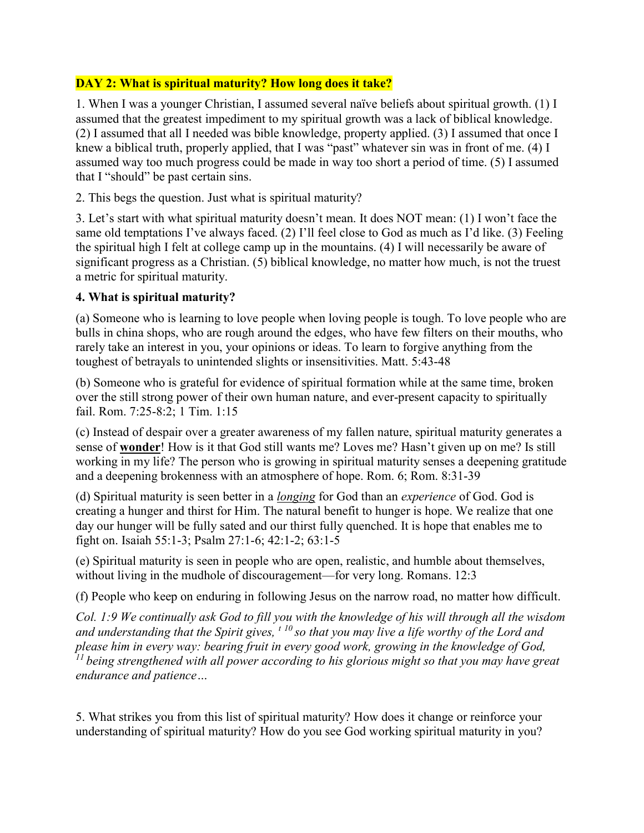## DAY 2: What is spiritual maturity? How long does it take?

1. When I was a younger Christian, I assumed several naïve beliefs about spiritual growth. (1) I assumed that the greatest impediment to my spiritual growth was a lack of biblical knowledge. (2) I assumed that all I needed was bible knowledge, property applied. (3) I assumed that once I knew a biblical truth, properly applied, that I was "past" whatever sin was in front of me. (4) I assumed way too much progress could be made in way too short a period of time. (5) I assumed that I "should" be past certain sins.

2. This begs the question. Just what is spiritual maturity?

3. Let's start with what spiritual maturity doesn't mean. It does NOT mean: (1) I won't face the same old temptations I've always faced. (2) I'll feel close to God as much as I'd like. (3) Feeling the spiritual high I felt at college camp up in the mountains. (4) I will necessarily be aware of significant progress as a Christian. (5) biblical knowledge, no matter how much, is not the truest a metric for spiritual maturity.

### 4. What is spiritual maturity?

(a) Someone who is learning to love people when loving people is tough. To love people who are bulls in china shops, who are rough around the edges, who have few filters on their mouths, who rarely take an interest in you, your opinions or ideas. To learn to forgive anything from the toughest of betrayals to unintended slights or insensitivities. Matt. 5:43-48

(b) Someone who is grateful for evidence of spiritual formation while at the same time, broken over the still strong power of their own human nature, and ever-present capacity to spiritually fail. Rom. 7:25-8:2; 1 Tim. 1:15

(c) Instead of despair over a greater awareness of my fallen nature, spiritual maturity generates a sense of wonder! How is it that God still wants me? Loves me? Hasn't given up on me? Is still working in my life? The person who is growing in spiritual maturity senses a deepening gratitude and a deepening brokenness with an atmosphere of hope. Rom. 6; Rom. 8:31-39

(d) Spiritual maturity is seen better in a *longing* for God than an *experience* of God. God is creating a hunger and thirst for Him. The natural benefit to hunger is hope. We realize that one day our hunger will be fully sated and our thirst fully quenched. It is hope that enables me to fight on. Isaiah 55:1-3; Psalm 27:1-6; 42:1-2; 63:1-5

(e) Spiritual maturity is seen in people who are open, realistic, and humble about themselves, without living in the mudhole of discouragement—for very long. Romans. 12:3

(f) People who keep on enduring in following Jesus on the narrow road, no matter how difficult.

Col. 1:9 We continually ask God to fill you with the knowledge of his will through all the wisdom and understanding that the Spirit gives,  $t^{10}$  so that you may live a life worthy of the Lord and please him in every way: bearing fruit in every good work, growing in the knowledge of God,  $11$  being strengthened with all power according to his glorious might so that you may have great endurance and patience…

5. What strikes you from this list of spiritual maturity? How does it change or reinforce your understanding of spiritual maturity? How do you see God working spiritual maturity in you?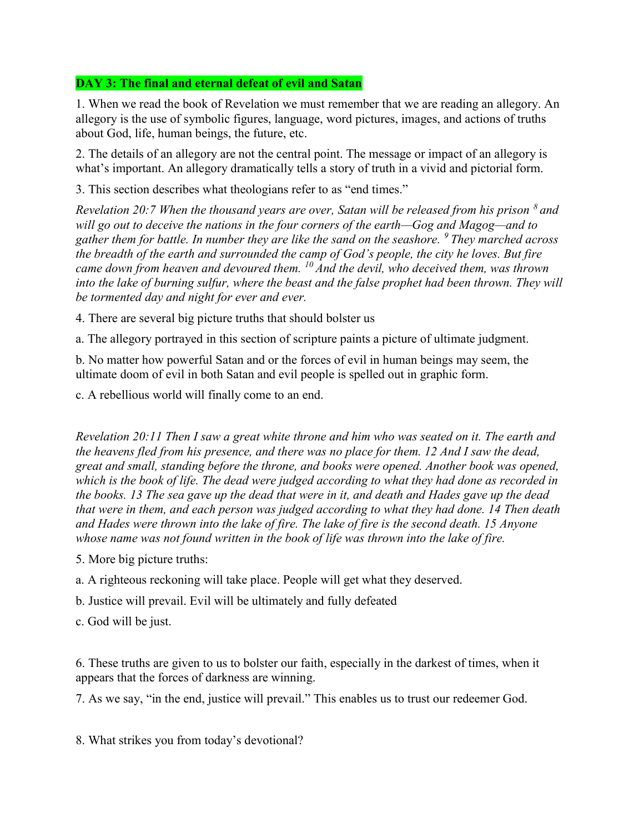## DAY 3: The final and eternal defeat of evil and Satan

1. When we read the book of Revelation we must remember that we are reading an allegory. An allegory is the use of symbolic figures, language, word pictures, images, and actions of truths about God, life, human beings, the future, etc.

2. The details of an allegory are not the central point. The message or impact of an allegory is what's important. An allegory dramatically tells a story of truth in a vivid and pictorial form.

3. This section describes what theologians refer to as "end times."

Revelation 20:7 When the thousand years are over, Satan will be released from his prison  $\delta$  and will go out to deceive the nations in the four corners of the earth—Gog and Magog—and to gather them for battle. In number they are like the sand on the seashore.  $9$  They marched across the breadth of the earth and surrounded the camp of God's people, the city he loves. But fire came down from heaven and devoured them.  $^{10}$  And the devil, who deceived them, was thrown into the lake of burning sulfur, where the beast and the false prophet had been thrown. They will be tormented day and night for ever and ever.

4. There are several big picture truths that should bolster us

a. The allegory portrayed in this section of scripture paints a picture of ultimate judgment.

b. No matter how powerful Satan and or the forces of evil in human beings may seem, the ultimate doom of evil in both Satan and evil people is spelled out in graphic form.

c. A rebellious world will finally come to an end.

Revelation 20:11 Then I saw a great white throne and him who was seated on it. The earth and the heavens fled from his presence, and there was no place for them. 12 And I saw the dead, great and small, standing before the throne, and books were opened. Another book was opened, which is the book of life. The dead were judged according to what they had done as recorded in the books. 13 The sea gave up the dead that were in it, and death and Hades gave up the dead that were in them, and each person was judged according to what they had done. 14 Then death and Hades were thrown into the lake of fire. The lake of fire is the second death. 15 Anyone whose name was not found written in the book of life was thrown into the lake of fire.

- 5. More big picture truths:
- a. A righteous reckoning will take place. People will get what they deserved.
- b. Justice will prevail. Evil will be ultimately and fully defeated
- c. God will be just.

6. These truths are given to us to bolster our faith, especially in the darkest of times, when it appears that the forces of darkness are winning.

7. As we say, "in the end, justice will prevail." This enables us to trust our redeemer God.

8. What strikes you from today's devotional?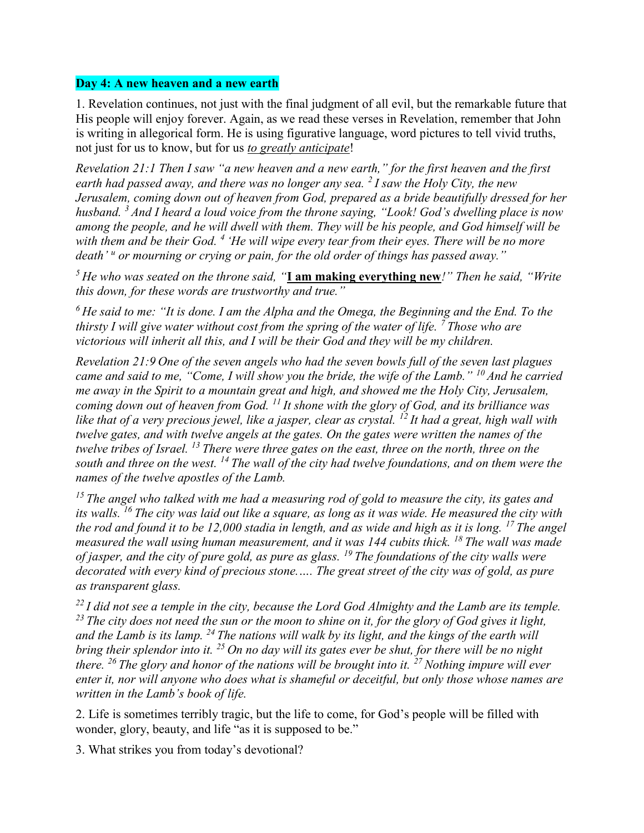#### Day 4: A new heaven and a new earth

1. Revelation continues, not just with the final judgment of all evil, but the remarkable future that His people will enjoy forever. Again, as we read these verses in Revelation, remember that John is writing in allegorical form. He is using figurative language, word pictures to tell vivid truths, not just for us to know, but for us to greatly anticipate!

Revelation 21:1 Then I saw "a new heaven and a new earth," for the first heaven and the first earth had passed away, and there was no longer any sea.  $\frac{2}{1}$  saw the Holy City, the new Jerusalem, coming down out of heaven from God, prepared as a bride beautifully dressed for her husband.  $3$  And I heard a loud voice from the throne saying, "Look! God's dwelling place is now among the people, and he will dwell with them. They will be his people, and God himself will be with them and be their God.  $4$  'He will wipe every tear from their eyes. There will be no more death' " or mourning or crying or pain, for the old order of things has passed away."

 $5$  He who was seated on the throne said, "**I am making everything new**!" Then he said, "Write this down, for these words are trustworthy and true."

 $6$  He said to me: "It is done. I am the Alpha and the Omega, the Beginning and the End. To the thirsty I will give water without cost from the spring of the water of life.  $\frac{7}{100}$  Those who are victorious will inherit all this, and I will be their God and they will be my children.

Revelation 21:9 One of the seven angels who had the seven bowls full of the seven last plagues came and said to me, "Come, I will show you the bride, the wife of the Lamb."  $^{10}$  And he carried me away in the Spirit to a mountain great and high, and showed me the Holy City, Jerusalem, coming down out of heaven from God.  $^{11}$  It shone with the glory of God, and its brilliance was like that of a very precious jewel, like a jasper, clear as crystal. <sup>12</sup> It had a great, high wall with twelve gates, and with twelve angels at the gates. On the gates were written the names of the twelve tribes of Israel.  $^{13}$  There were three gates on the east, three on the north, three on the south and three on the west.  $^{14}$  The wall of the city had twelve foundations, and on them were the names of the twelve apostles of the Lamb.

 $15$  The angel who talked with me had a measuring rod of gold to measure the city, its gates and its walls. <sup>16</sup> The city was laid out like a square, as long as it was wide. He measured the city with the rod and found it to be 12,000 stadia in length, and as wide and high as it is long. <sup>17</sup> The angel measured the wall using human measurement, and it was 144 cubits thick.  $^{18}$  The wall was made of jasper, and the city of pure gold, as pure as glass. <sup>19</sup> The foundations of the city walls were decorated with every kind of precious stone.…. The great street of the city was of gold, as pure as transparent glass.

 $^{22}$  I did not see a temple in the city, because the Lord God Almighty and the Lamb are its temple.  $^{23}$  The city does not need the sun or the moon to shine on it, for the glory of God gives it light, and the Lamb is its lamp.  $^{24}$  The nations will walk by its light, and the kings of the earth will bring their splendor into it.  $^{25}$  On no day will its gates ever be shut, for there will be no night there. <sup>26</sup> The glory and honor of the nations will be brought into it. <sup>27</sup> Nothing impure will ever enter it, nor will anyone who does what is shameful or deceitful, but only those whose names are written in the Lamb's book of life.

2. Life is sometimes terribly tragic, but the life to come, for God's people will be filled with wonder, glory, beauty, and life "as it is supposed to be."

3. What strikes you from today's devotional?